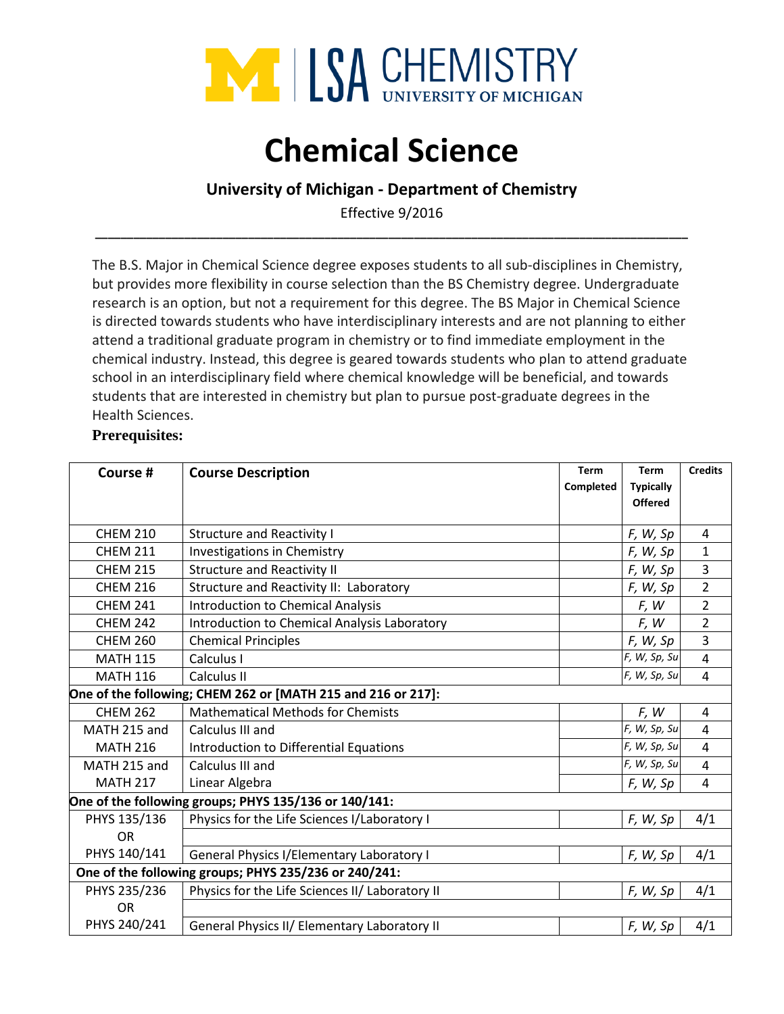

# **Chemical Science**

# **University of Michigan - Department of Chemistry**

Effective 9/2016 **\_\_\_\_\_\_\_\_\_\_\_\_\_\_\_\_\_\_\_\_\_\_\_\_\_\_\_\_\_\_\_\_\_\_\_\_\_\_\_\_\_\_\_\_\_\_\_\_\_\_\_\_\_\_\_\_\_\_\_\_\_\_\_\_\_\_\_\_\_\_\_\_\_\_\_\_\_\_\_\_\_\_\_\_\_\_\_\_\_\_\_\_\_**

The B.S. Major in Chemical Science degree exposes students to all sub-disciplines in Chemistry, but provides more flexibility in course selection than the BS Chemistry degree. Undergraduate research is an option, but not a requirement for this degree. The BS Major in Chemical Science is directed towards students who have interdisciplinary interests and are not planning to either attend a traditional graduate program in chemistry or to find immediate employment in the chemical industry. Instead, this degree is geared towards students who plan to attend graduate school in an interdisciplinary field where chemical knowledge will be beneficial, and towards students that are interested in chemistry but plan to pursue post-graduate degrees in the Health Sciences.

## **Prerequisites:**

| Course #                                              | <b>Course Description</b>                                    | <b>Term</b><br>Completed | <b>Term</b><br><b>Typically</b><br><b>Offered</b> | <b>Credits</b> |  |  |
|-------------------------------------------------------|--------------------------------------------------------------|--------------------------|---------------------------------------------------|----------------|--|--|
| <b>CHEM 210</b>                                       | <b>Structure and Reactivity I</b>                            |                          | F, W, Sp                                          | 4              |  |  |
| <b>CHEM 211</b>                                       | Investigations in Chemistry                                  |                          | F, W, Sp                                          | $\mathbf{1}$   |  |  |
| <b>CHEM 215</b>                                       | <b>Structure and Reactivity II</b>                           |                          | F, W, Sp                                          | 3              |  |  |
| <b>CHEM 216</b>                                       | Structure and Reactivity II: Laboratory                      |                          | F, W, Sp                                          | $\overline{2}$ |  |  |
| <b>CHEM 241</b>                                       | <b>Introduction to Chemical Analysis</b>                     |                          | F, W                                              | $\overline{2}$ |  |  |
| <b>CHEM 242</b>                                       | Introduction to Chemical Analysis Laboratory                 |                          | F, W                                              | 2              |  |  |
| <b>CHEM 260</b>                                       | <b>Chemical Principles</b>                                   |                          | F, W, Sp                                          | $\overline{3}$ |  |  |
| <b>MATH 115</b>                                       | Calculus I                                                   |                          | F, W, Sp, Su                                      | $\overline{4}$ |  |  |
| <b>MATH 116</b>                                       | Calculus II                                                  |                          | F, W, Sp, Su                                      | $\overline{4}$ |  |  |
|                                                       | One of the following; CHEM 262 or [MATH 215 and 216 or 217]: |                          |                                                   |                |  |  |
| <b>CHEM 262</b>                                       | <b>Mathematical Methods for Chemists</b>                     |                          | F, W                                              | 4              |  |  |
| MATH 215 and                                          | Calculus III and                                             |                          | F, W, Sp, Su                                      | $\overline{4}$ |  |  |
| <b>MATH 216</b>                                       | Introduction to Differential Equations                       |                          | F, W, Sp, Su                                      | $\overline{4}$ |  |  |
| MATH 215 and                                          | Calculus III and                                             |                          | F, W, Sp, Su                                      | $\overline{4}$ |  |  |
| <b>MATH 217</b>                                       | Linear Algebra                                               |                          | F, W, Sp                                          | 4              |  |  |
| One of the following groups; PHYS 135/136 or 140/141: |                                                              |                          |                                                   |                |  |  |
| PHYS 135/136                                          | Physics for the Life Sciences I/Laboratory I                 |                          | F, W, Sp                                          | 4/1            |  |  |
| OR                                                    |                                                              |                          |                                                   |                |  |  |
| PHYS 140/141                                          | General Physics I/Elementary Laboratory I                    |                          | F, W, Sp                                          | 4/1            |  |  |
| One of the following groups; PHYS 235/236 or 240/241: |                                                              |                          |                                                   |                |  |  |
| PHYS 235/236                                          | Physics for the Life Sciences II/ Laboratory II              |                          | F, W, Sp                                          | 4/1            |  |  |
| <b>OR</b>                                             |                                                              |                          |                                                   |                |  |  |
| PHYS 240/241                                          | General Physics II/ Elementary Laboratory II                 |                          | F, W, Sp                                          | 4/1            |  |  |